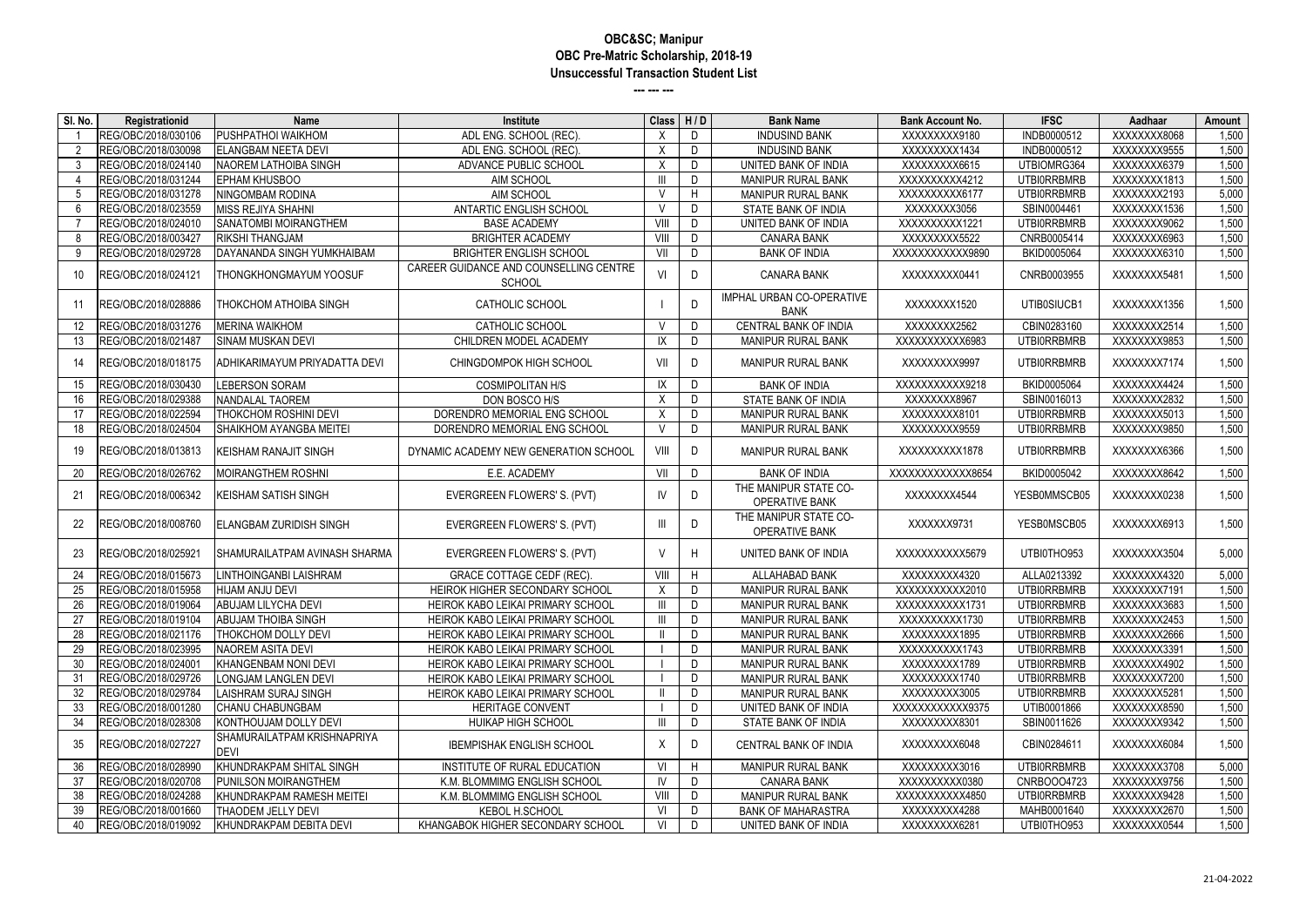## OBC≻ Manipur **OBC Pre-Matric Scholarship, 2018-19 Unsuccessful Transaction Student List**

**--- --- ---**

| SI. No.         | Registrationid      | Name                                       | Institute                                               | Class $H/D$               |    | <b>Bank Name</b>                               | <b>Bank Account No.</b> | <b>IFSC</b>        | Aadhaar      | Amount |
|-----------------|---------------------|--------------------------------------------|---------------------------------------------------------|---------------------------|----|------------------------------------------------|-------------------------|--------------------|--------------|--------|
|                 | REG/OBC/2018/030106 | PUSHPATHOI WAIKHOM                         | ADL ENG. SCHOOL (REC)                                   | $\times$                  | D  | <b>INDUSIND BANK</b>                           | XXXXXXXX9180            | INDB0000512        | XXXXXXXX8068 | 1,500  |
| $\overline{2}$  | REG/OBC/2018/030098 | ELANGBAM NEETA DEVI                        | ADL ENG. SCHOOL (REC).                                  | $\sf X$                   | D  | <b>INDUSIND BANK</b>                           | XXXXXXXX1434            | INDB0000512        | XXXXXXX9555  | 1,500  |
| 3               | REG/OBC/2018/024140 | NAOREM LATHOIBA SINGH                      | ADVANCE PUBLIC SCHOOL                                   | $\mathsf{x}$              | D  | UNITED BANK OF INDIA                           | XXXXXXXX6615            | UTBIOMRG364        | XXXXXXX6379  | 1,500  |
| 4               | REG/OBC/2018/031244 | <b>EPHAM KHUSBOO</b>                       | AIM SCHOOL                                              |                           | D  | MANIPUR RURAL BANK                             | XXXXXXXXX4212           | UTBI0RRBMRB        | XXXXXXX1813  | 1,500  |
| 5               | REG/OBC/2018/031278 | NINGOMBAM RODINA                           | AIM SCHOOL                                              |                           | H  | MANIPUR RURAL BANK                             | XXXXXXXXX6177           | <b>UTBIORRBMRB</b> | XXXXXXX2193  | 5,000  |
| 6               | REG/OBC/2018/023559 | MISS REJIYA SHAHNI                         | ANTARTIC ENGLISH SCHOOL                                 | $\mathsf{V}$              | D  | STATE BANK OF INDIA                            | XXXXXXX3056             | SBIN0004461        | XXXXXXX1536  | 1,500  |
|                 | REG/OBC/2018/024010 | SANATOMBI MOIRANGTHEM                      | <b>BASE ACADEMY</b>                                     | VIII                      | D  | UNITED BANK OF INDIA                           | XXXXXXXXX1221           | <b>UTBIORRBMRB</b> | XXXXXXX9062  | 1,500  |
| 8               | REG/OBC/2018/003427 | RIKSHI THANGJAM                            | <b>BRIGHTER ACADEMY</b>                                 | VIII                      | D  | <b>CANARA BANK</b>                             | XXXXXXXX5522            | CNRB0005414        | XXXXXXX6963  | 1,500  |
| 9               | REG/OBC/2018/029728 | DAYANANDA SINGH YUMKHAIBAM                 | <b>BRIGHTER ENGLISH SCHOOL</b>                          | VII                       | D  | <b>BANK OF INDIA</b>                           | XXXXXXXXXXX9890         | BKID0005064        | XXXXXXXX6310 | 1,500  |
| 10 <sup>°</sup> | REG/OBC/2018/024121 | THONGKHONGMAYUM YOOSUF                     | CAREER GUIDANCE AND COUNSELLING CENTRE<br><b>SCHOOL</b> | VI                        | D  | <b>CANARA BANK</b>                             | XXXXXXXXX0441           | CNRB0003955        | XXXXXXXX5481 | 1,500  |
| 11              | REG/OBC/2018/028886 | THOKCHOM ATHOIBA SINGH                     | CATHOLIC SCHOOL                                         |                           | D  | IMPHAL URBAN CO-OPERATIVE<br><b>BANK</b>       | XXXXXXX1520             | UTIB0SIUCB1        | XXXXXXXX1356 | 1,500  |
| 12              | REG/OBC/2018/031276 | <b>MERINA WAIKHOM</b>                      | CATHOLIC SCHOOL                                         |                           | D  | CENTRAL BANK OF INDIA                          | XXXXXXX2562             | CBIN0283160        | XXXXXXX2514  | 1,500  |
| 13              | REG/OBC/2018/021487 | <b>SINAM MUSKAN DEVI</b>                   | CHILDREN MODEL ACADEMY                                  | IX                        | D  | MANIPUR RURAL BANK                             | XXXXXXXXXX6983          | <b>UTBIORRBMRB</b> | XXXXXXX9853  | 1,500  |
| 14              | REG/OBC/2018/018175 | ADHIKARIMAYUM PRIYADATTA DEVI              | CHINGDOMPOK HIGH SCHOOL                                 | VII                       | D  | MANIPUR RURAL BANK                             | XXXXXXXX9997            | <b>UTBIORRBMRB</b> | XXXXXXX7174  | 1,500  |
| 15              | REG/OBC/2018/030430 | LEBERSON SORAM                             | <b>COSMIPOLITAN H/S</b>                                 | IX                        | D  | <b>BANK OF INDIA</b>                           | XXXXXXXXXX9218          | BKID0005064        | XXXXXXX4424  | 1,500  |
| 16              | REG/OBC/2018/029388 | NANDALAL TAOREM                            | DON BOSCO H/S                                           | X                         | D  | STATE BANK OF INDIA                            | XXXXXXX8967             | SBIN0016013        | XXXXXXX2832  | 1,500  |
| 17              | REG/OBC/2018/022594 | THOKCHOM ROSHINI DEVI                      | DORENDRO MEMORIAL ENG SCHOOL                            | X                         | D. | <b>MANIPUR RURAL BANK</b>                      | XXXXXXXX8101            | UTBI0RRBMRB        | XXXXXXXX5013 | 1,500  |
| 18              | REG/OBC/2018/024504 | SHAIKHOM AYANGBA MEITEI                    | DORENDRO MEMORIAL ENG SCHOOL                            | $\mathcal{U}$             | D  | <b>MANIPUR RURAL BANK</b>                      | XXXXXXXX9559            | <b>UTBIORRBMRB</b> | XXXXXXXX9850 | 1,500  |
| 19              | REG/OBC/2018/013813 | KEISHAM RANAJIT SINGH                      | DYNAMIC ACADEMY NEW GENERATION SCHOOL                   | VIII                      | D  | MANIPUR RURAL BANK                             | XXXXXXXXX1878           | <b>UTBIORRBMRB</b> | XXXXXXX6366  | 1,500  |
| 20              | REG/OBC/2018/026762 | MOIRANGTHEM ROSHNI                         | E.E. ACADEMY                                            | VII                       | D  | <b>BANK OF INDIA</b>                           | XXXXXXXXXXXX8654        | BKID0005042        | XXXXXXX8642  | 1,500  |
| 21              | REG/OBC/2018/006342 | KEISHAM SATISH SINGH                       | EVERGREEN FLOWERS' S. (PVT)                             | IV                        | D  | THE MANIPUR STATE CO-<br><b>OPERATIVE BANK</b> | XXXXXXX4544             | YESB0MMSCB05       | XXXXXXXX0238 | 1,500  |
| 22              | REG/OBC/2018/008760 | ELANGBAM ZURIDISH SINGH                    | EVERGREEN FLOWERS' S. (PVT)                             | $\mathbf{III}$            | D  | THE MANIPUR STATE CO-<br><b>OPERATIVE BANK</b> | XXXXXX9731              | YESB0MSCB05        | XXXXXXX6913  | 1,500  |
| 23              | REG/OBC/2018/025921 | SHAMURAILATPAM AVINASH SHARMA              | EVERGREEN FLOWERS' S. (PVT)                             | $\mathsf{V}$              | H  | UNITED BANK OF INDIA                           | XXXXXXXXXX5679          | UTBI0THO953        | XXXXXXXX3504 | 5,000  |
| 24              | REG/OBC/2018/015673 | LINTHOINGANBI LAISHRAM                     | <b>GRACE COTTAGE CEDF (REC)</b>                         | VIII                      | H  | ALLAHABAD BANK                                 | XXXXXXXX4320            | ALLA0213392        | XXXXXXX4320  | 5,000  |
| 25              | REG/OBC/2018/015958 | <b>HIJAM ANJU DEVI</b>                     | <b>HEIROK HIGHER SECONDARY SCHOOL</b>                   | X                         | D  | <b>MANIPUR RURAL BANK</b>                      | XXXXXXXXXX2010          | UTBI0RRBMRB        | XXXXXXXX7191 | 1,500  |
| 26              | REG/OBC/2018/019064 | ABUJAM LILYCHA DEVI                        | HEIROK KABO LEIKAI PRIMARY SCHOOL                       | $\mathsf{III}$            | D  | MANIPUR RURAL BANK                             | XXXXXXXXXX1731          | UTBI0RRBMRB        | XXXXXXXX3683 | 1,500  |
| 27              | REG/OBC/2018/019104 | ABUJAM THOIBA SINGH                        | HEIROK KABO LEIKAI PRIMARY SCHOOL                       | Ш                         | D  | MANIPUR RURAL BANK                             | XXXXXXXXX1730           | UTBI0RRBMRB        | XXXXXXX2453  | 1,500  |
| 28              | REG/OBC/2018/021176 | THOKCHOM DOLLY DEVI                        | HEIROK KABO LEIKAI PRIMARY SCHOOL                       |                           | D  | MANIPUR RURAL BANK                             | XXXXXXXX1895            | UTBI0RRBMRB        | XXXXXXX2666  | 1,500  |
| 29              | REG/OBC/2018/023995 | <b>NAOREM ASITA DEVI</b>                   | HEIROK KABO LEIKAI PRIMARY SCHOOL                       |                           | D  | <b>MANIPUR RURAL BANK</b>                      | XXXXXXXXX1743           | <b>UTBIORRBMRB</b> | XXXXXXX3391  | 1,500  |
| 30 <sup>°</sup> | REG/OBC/2018/024001 | KHANGENBAM NONI DEVI                       | HEIROK KABO LEIKAI PRIMARY SCHOOL                       |                           | D  | <b>MANIPUR RURAL BANK</b>                      | XXXXXXXX1789            | UTBI0RRBMRB        | XXXXXXX4902  | 1,500  |
| 31              | REG/OBC/2018/029726 | LONGJAM LANGLEN DEVI                       | HEIROK KABO LEIKAI PRIMARY SCHOOL                       |                           | D  | MANIPUR RURAL BANK                             | XXXXXXXX1740            | UTBI0RRBMRB        | XXXXXXXX7200 | 1,500  |
| 32              | REG/OBC/2018/029784 | LAISHRAM SURAJ SINGH                       | HEIROK KABO LEIKAI PRIMARY SCHOOL                       |                           | D  | MANIPUR RURAL BANK                             | XXXXXXXX3005            | <b>UTBIORRBMRB</b> | XXXXXXX5281  | 1,500  |
| 33              | REG/OBC/2018/001280 | CHANU CHABUNGBAM                           | <b>HERITAGE CONVENT</b>                                 |                           | D  | UNITED BANK OF INDIA                           | XXXXXXXXXXX9375         | UTIB0001866        | XXXXXXX8590  | 1,500  |
| 34              | REG/OBC/2018/028308 | KONTHOUJAM DOLLY DEVI                      | HUIKAP HIGH SCHOOL                                      | $\mathbf{III}$            | D  | STATE BANK OF INDIA                            | XXXXXXXX8301            | SBIN0011626        | XXXXXXX9342  | 1,500  |
| 35              | REG/OBC/2018/027227 | SHAMURAILATPAM KRISHNAPRIYA<br><b>DEVI</b> | <b>IBEMPISHAK ENGLISH SCHOOL</b>                        | $\boldsymbol{\mathsf{X}}$ | D  | CENTRAL BANK OF INDIA                          | XXXXXXXX6048            | CBIN0284611        | XXXXXXX6084  | 1,500  |
| 36              | REG/OBC/2018/028990 | KHUNDRAKPAM SHITAL SINGH                   | INSTITUTE OF RURAL EDUCATION                            | VI                        | H  | MANIPUR RURAL BANK                             | XXXXXXXX3016            | UTBI0RRBMRB        | XXXXXXXX3708 | 5,000  |
| 37              | REG/OBC/2018/020708 | PUNILSON MOIRANGTHEM                       | K.M. BLOMMIMG ENGLISH SCHOOL                            | IV                        | D  | <b>CANARA BANK</b>                             | XXXXXXXXXX0380          | CNRBOO04723        | XXXXXXX9756  | 1,500  |
| 38              | REG/OBC/2018/024288 | KHUNDRAKPAM RAMESH MEITEI                  | K.M. BLOMMIMG ENGLISH SCHOOL                            | VIII                      | D  | MANIPUR RURAL BANK                             | XXXXXXXXXX4850          | <b>UTBIORRBMRB</b> | XXXXXXX9428  | 1,500  |
| 39              | REG/OBC/2018/001660 | THAODEM JELLY DEVI                         | <b>KEBOL H.SCHOOL</b>                                   | VI                        | D  | <b>BANK OF MAHARASTRA</b>                      | XXXXXXXX4288            | MAHB0001640        | XXXXXXX2670  | 1,500  |
| 40              | REG/OBC/2018/019092 | KHUNDRAKPAM DEBITA DEVI                    | KHANGABOK HIGHER SECONDARY SCHOOL                       | VI                        | D  | UNITED BANK OF INDIA                           | XXXXXXXXX6281           | UTBI0THO953        | XXXXXXXX0544 | 1,500  |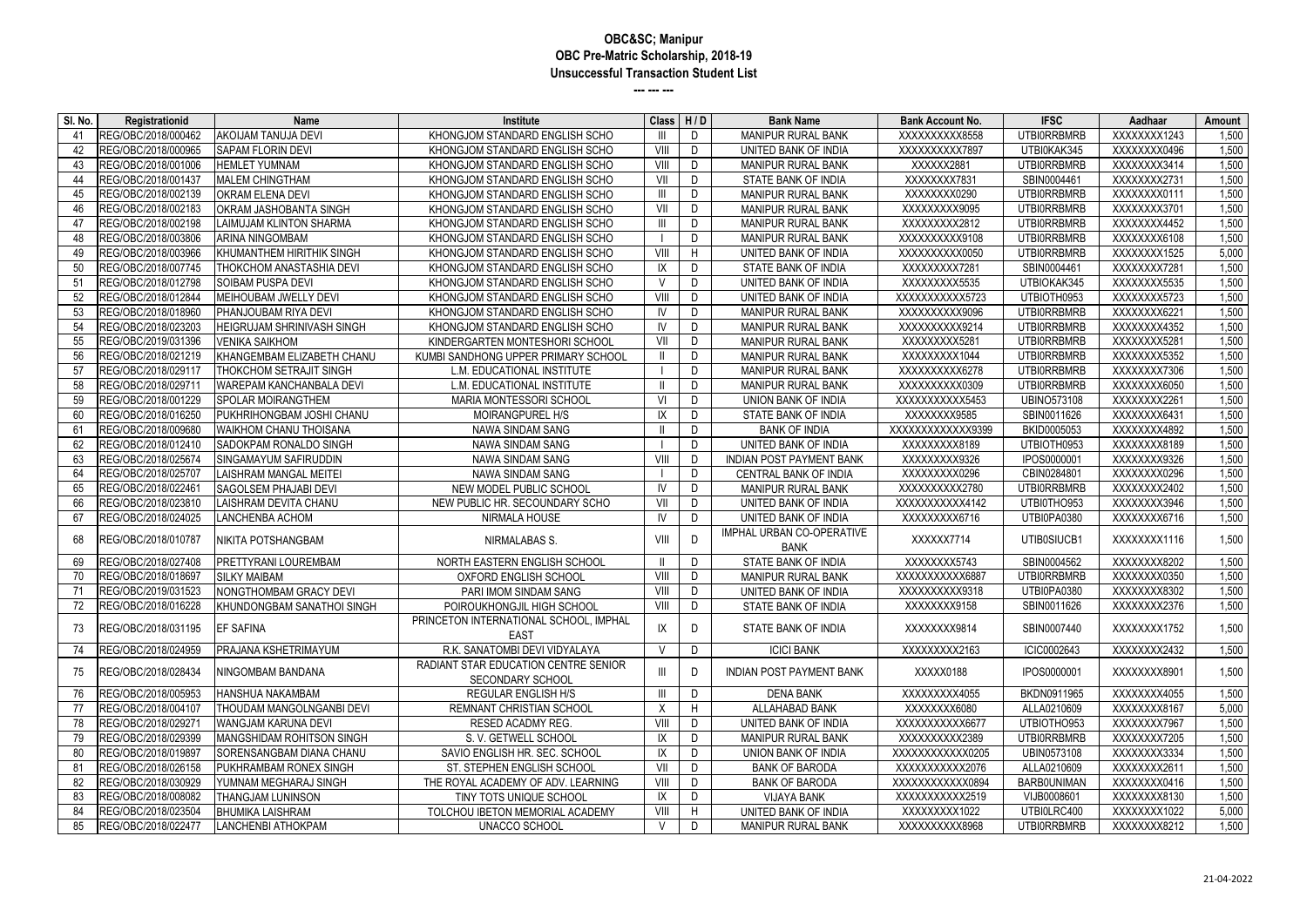## OBC≻ Manipur **OBC Pre-Matric Scholarship, 2018-19 Unsuccessful Transaction Student List**

**--- --- ---**

| SI. No. | Registrationid                             | Name                                        | Institute                                      |                | Class $H/D$ | <b>Bank Name</b>                                 | <b>Bank Account No.</b> | <b>IFSC</b>        | Aadhaar      | Amount |
|---------|--------------------------------------------|---------------------------------------------|------------------------------------------------|----------------|-------------|--------------------------------------------------|-------------------------|--------------------|--------------|--------|
| 41      | REG/OBC/2018/000462                        | AKOIJAM TANUJA DEVI                         | KHONGJOM STANDARD ENGLISH SCHO                 | $\mathbf{III}$ | D           | <b>MANIPUR RURAL BANK</b>                        | XXXXXXXXX8558           | UTBI0RRBMRB        | XXXXXXX1243  | 1,500  |
| 42      | REG/OBC/2018/000965                        | SAPAM FLORIN DEVI                           | KHONGJOM STANDARD ENGLISH SCHO                 | VIII           | D           | UNITED BANK OF INDIA                             | XXXXXXXXX7897           | UTBI0KAK345        | XXXXXXXX0496 | 1,500  |
| 43      | REG/OBC/2018/001006                        | <b>HEMLET YUMNAM</b>                        | KHONGJOM STANDARD ENGLISH SCHO                 | VIII           | D           | <b>MANIPUR RURAL BANK</b>                        | XXXXX2881               | <b>UTBIORRBMRB</b> | XXXXXXX3414  | 1,500  |
| 44      | REG/OBC/2018/001437                        | MALEM CHINGTHAM                             | KHONGJOM STANDARD ENGLISH SCHO                 | VII            | D           | STATE BANK OF INDIA                              | XXXXXXX7831             | SBIN0004461        | XXXXXXXX2731 | 1,500  |
| 45      | REG/OBC/2018/002139                        | OKRAM ELENA DEVI                            | KHONGJOM STANDARD ENGLISH SCHO                 | Ш              | D           | <b>MANIPUR RURAL BANK</b>                        | XXXXXXX0290             | <b>UTBIORRBMRB</b> | XXXXXXXX0111 | 1,500  |
| 46      | REG/OBC/2018/002183                        | OKRAM JASHOBANTA SINGH                      | KHONGJOM STANDARD ENGLISH SCHO                 | VII            | D           | <b>MANIPUR RURAL BANK</b>                        | XXXXXXXX9095            | UTBI0RRBMRB        | XXXXXXX3701  | 1,500  |
| 47      | REG/OBC/2018/002198                        | LAIMUJAM KLINTON SHARMA                     | KHONGJOM STANDARD ENGLISH SCHO                 | Ш              | D           | MANIPUR RURAL BANK                               | XXXXXXXX2812            | <b>UTBIORRBMRB</b> | XXXXXXX4452  | 1,500  |
| 48      | REG/OBC/2018/003806                        | ARINA NINGOMBAM                             | KHONGJOM STANDARD ENGLISH SCHO                 |                | D           | MANIPUR RURAL BANK                               | XXXXXXXXX9108           | <b>UTBIORRBMRB</b> | XXXXXXX6108  | 1,500  |
| 49      | REG/OBC/2018/003966                        | KHUMANTHEM HIRITHIK SINGH                   | KHONGJOM STANDARD ENGLISH SCHO                 | VIII           | H           | UNITED BANK OF INDIA                             | XXXXXXXXX0050           | <b>UTBIORRBMRB</b> | XXXXXXX1525  | 5,000  |
| 50      | REG/OBC/2018/007745                        | THOKCHOM ANASTASHIA DEVI                    | KHONGJOM STANDARD ENGLISH SCHO                 | IX             | D           | STATE BANK OF INDIA                              | XXXXXXXXX7281           | SBIN0004461        | XXXXXXXX7281 | 1,500  |
| 51      | REG/OBC/2018/012798                        | SOIBAM PUSPA DEVI                           | KHONGJOM STANDARD ENGLISH SCHO                 | $\mathsf{V}$   | D           | UNITED BANK OF INDIA                             | XXXXXXXX5535            | UTBIOKAK345        | XXXXXXXX5535 | 1,500  |
| 52      | REG/OBC/2018/012844                        | MEIHOUBAM JWELLY DEVI                       | KHONGJOM STANDARD ENGLISH SCHO                 | VIII           | D           | UNITED BANK OF INDIA                             | XXXXXXXXXX5723          | UTBIOTH0953        | XXXXXXX5723  | 1,500  |
| 53      | REG/OBC/2018/018960                        | PHANJOUBAM RIYA DEVI                        | KHONGJOM STANDARD ENGLISH SCHO                 | IV             | D           | <b>MANIPUR RURAL BANK</b>                        | XXXXXXXXX9096           | <b>UTBIORRBMRB</b> | XXXXXXX6221  | 1,500  |
| 54      | REG/OBC/2018/023203                        | HEIGRUJAM SHRINIVASH SINGH                  | KHONGJOM STANDARD ENGLISH SCHO                 | IV             | D           | <b>MANIPUR RURAL BANK</b>                        | XXXXXXXXX9214           | <b>UTBIORRBMRB</b> | XXXXXXX4352  | 1,500  |
| 55      | REG/OBC/2019/031396                        | VENIKA SAIKHOM                              | KINDERGARTEN MONTESHORI SCHOOL                 | VII            | D           | MANIPUR RURAL BANK                               | XXXXXXXXX5281           | <b>UTBIORRBMRB</b> | XXXXXXXX5281 | 1,500  |
| 56      | REG/OBC/2018/021219                        | KHANGEMBAM ELIZABETH CHANU                  | KUMBI SANDHONG UPPER PRIMARY SCHOOL            | $\mathbf{I}$   | D           | MANIPUR RURAL BANK                               | XXXXXXXX1044            | <b>UTBIORRBMRB</b> | XXXXXXX5352  | 1,500  |
| 57      | REG/OBC/2018/029117                        | THOKCHOM SETRAJIT SINGH                     | L.M. EDUCATIONAL INSTITUTE                     |                | D           | <b>MANIPUR RURAL BANK</b>                        | XXXXXXXXX6278           | <b>UTBIORRBMRB</b> | XXXXXXX7306  | 1,500  |
| 58      | REG/OBC/2018/029711                        | WAREPAM KANCHANBALA DEVI                    | L.M. EDUCATIONAL INSTITUTE                     | $\mathbf{I}$   | D           | <b>MANIPUR RURAL BANK</b>                        | XXXXXXXXX0309           | <b>UTBIORRBMRB</b> | XXXXXXXX6050 | 1,500  |
| 59      | REG/OBC/2018/001229                        | SPOLAR MOIRANGTHEM                          | MARIA MONTESSORI SCHOOL                        | VI             | D           | UNION BANK OF INDIA                              | XXXXXXXXXX5453          | <b>UBINO573108</b> | XXXXXXXX2261 | 1,500  |
| 60      | REG/OBC/2018/016250                        | PUKHRIHONGBAM JOSHI CHANU                   | <b>MOIRANGPUREL H/S</b>                        | IX             | D           | STATE BANK OF INDIA                              | XXXXXXX9585             | SBIN0011626        | XXXXXXXX6431 | 1,500  |
| 61      | REG/OBC/2018/009680                        | WAIKHOM CHANU THOISANA                      | NAWA SINDAM SANG                               |                | D           | <b>BANK OF INDIA</b>                             | XXXXXXXXXXXX9399        | BKID0005053        | XXXXXXX4892  | 1,500  |
| 62      | REG/OBC/2018/012410                        | SADOKPAM RONALDO SINGH                      | NAWA SINDAM SANG                               |                | D           | UNITED BANK OF INDIA                             | XXXXXXXX8189            | UTBIOTH0953        | XXXXXXX8189  | 1,500  |
| 63      | REG/OBC/2018/025674                        | SINGAMAYUM SAFIRUDDIN                       | NAWA SINDAM SANG                               | VIII           | D           | INDIAN POST PAYMENT BANK                         | XXXXXXXX9326            | IPOS0000001        | XXXXXXX9326  | 1,500  |
| 64      | REG/OBC/2018/025707                        | LAISHRAM MANGAL MEITEI                      | NAWA SINDAM SANG                               |                | D           | CENTRAL BANK OF INDIA                            | XXXXXXXX0296            | CBIN0284801        | XXXXXXXX0296 | 1,500  |
| 65      | REG/OBC/2018/022461                        | SAGOLSEM PHAJABI DEVI                       | NEW MODEL PUBLIC SCHOOL                        | IV             | D           | MANIPUR RURAL BANK                               | XXXXXXXXX2780           | UTBI0RRBMRB        | XXXXXXX2402  | 1,500  |
| 66      | REG/OBC/2018/023810                        | LAISHRAM DEVITA CHANU                       | NEW PUBLIC HR. SECOUNDARY SCHO                 | VII            | D           | UNITED BANK OF INDIA                             | XXXXXXXXXX4142          | UTBI0THO953        | XXXXXXX3946  | 1,500  |
| 67      | REG/OBC/2018/024025                        | LANCHENBA ACHOM                             | NIRMALA HOUSE                                  | IV             | D           | UNITED BANK OF INDIA                             | XXXXXXXX6716            | UTBI0PA0380        | XXXXXXX6716  | 1,500  |
| 68      | REG/OBC/2018/010787                        | NIKITA POTSHANGBAM                          | <b>NIRMALABAS S.</b>                           | VIII           | D           | <b>IMPHAL URBAN CO-OPERATIVE</b><br><b>BANK</b>  | XXXXXX7714              | UTIB0SIUCB1        | XXXXXXX1116  | 1,500  |
| 69      | REG/OBC/2018/027408                        |                                             | NORTH EASTERN ENGLISH SCHOOL                   | H              | D           |                                                  | XXXXXXXX5743            | SBIN0004562        | XXXXXXXX8202 | 1,500  |
| 70      |                                            | PRETTYRANI LOUREMBAM<br><b>SILKY MAIBAM</b> |                                                | VIII           | D           | STATE BANK OF INDIA<br><b>MANIPUR RURAL BANK</b> | XXXXXXXXXX6887          | UTBI0RRBMRB        | XXXXXXX0350  | 1,500  |
| 71      | REG/OBC/2018/018697<br>REG/OBC/2019/031523 | NONGTHOMBAM GRACY DEVI                      | OXFORD ENGLISH SCHOOL<br>PARI IMOM SINDAM SANG | VIII           | D           | UNITED BANK OF INDIA                             | XXXXXXXXX9318           | UTBI0PA0380        | XXXXXXX8302  | 1,500  |
| 72      | REG/OBC/2018/016228                        | KHUNDONGBAM SANATHOI SINGH                  | POIROUKHONGJIL HIGH SCHOOL                     | VIII           | D           | STATE BANK OF INDIA                              | XXXXXXX9158             | SBIN0011626        | XXXXXXXX2376 | 1,500  |
|         |                                            |                                             | PRINCETON INTERNATIONAL SCHOOL, IMPHAL         |                |             |                                                  |                         |                    |              |        |
| 73      | REG/OBC/2018/031195                        | EF SAFINA                                   | <b>EAST</b>                                    | IX             | D           | STATE BANK OF INDIA                              | XXXXXXX9814             | SBIN0007440        | XXXXXXX1752  | 1,500  |
| 74      | REG/OBC/2018/024959                        | PRAJANA KSHETRIMAYUM                        | R.K. SANATOMBI DEVI VIDYALAYA                  | $\vee$         | D           | <b>ICICI BANK</b>                                | XXXXXXXX2163            | ICIC0002643        | XXXXXXX2432  | 1,500  |
| 75      | REG/OBC/2018/028434                        | NINGOMBAM BANDANA                           | RADIANT STAR EDUCATION CENTRE SENIOR           | $\mathbf{m}$   | D           | <b>INDIAN POST PAYMENT BANK</b>                  | XXXXX0188               | IPOS0000001        | XXXXXXX8901  | 1,500  |
|         |                                            |                                             | <b>SECONDARY SCHOOL</b>                        |                |             |                                                  |                         |                    |              |        |
| 76      | REG/OBC/2018/005953                        | HANSHUA NAKAMBAM                            | REGULAR ENGLISH H/S                            | Ш              | D           | <b>DENA BANK</b>                                 | XXXXXXXX4055            | BKDN0911965        | XXXXXXX4055  | 1,500  |
| 77      | REG/OBC/2018/004107                        | THOUDAM MANGOLNGANBI DEVI                   | REMNANT CHRISTIAN SCHOOL                       |                | H           | <b>ALLAHABAD BANK</b>                            | XXXXXXX6080             | ALLA0210609        | XXXXXXX8167  | 5,000  |
| 78      | REG/OBC/2018/029271                        | WANGJAM KARUNA DEVI                         | RESED ACADMY REG.                              | VIII           | D           | UNITED BANK OF INDIA                             | XXXXXXXXXX6677          | UTBIOTHO953        | XXXXXXX7967  | 1,500  |
| 79      | REG/OBC/2018/029399                        | MANGSHIDAM ROHITSON SINGH                   | S. V. GETWELL SCHOOL                           | IX             | D           | MANIPUR RURAL BANK                               | XXXXXXXXX2389           | <b>UTBIORRBMRB</b> | XXXXXXX7205  | 1,500  |
| 80      | REG/OBC/2018/019897                        | SORENSANGBAM DIANA CHANU                    | SAVIO ENGLISH HR. SEC. SCHOOL                  | IX             | D           | UNION BANK OF INDIA                              | XXXXXXXXXXX0205         | UBIN0573108        | XXXXXXXX3334 | 1,500  |
| 81      | REG/OBC/2018/026158                        | PUKHRAMBAM RONEX SINGH                      | ST. STEPHEN ENGLISH SCHOOL                     | VII            | D           | <b>BANK OF BARODA</b>                            | XXXXXXXXXX2076          | ALLA0210609        | XXXXXXXX2611 | 1,500  |
| 82      | REG/OBC/2018/030929                        | YUMNAM MEGHARAJ SINGH                       | THE ROYAL ACADEMY OF ADV. LEARNING             | VIII           | D           | <b>BANK OF BARODA</b>                            | XXXXXXXXXXXX0894        | <b>BARBOUNIMAN</b> | XXXXXXX0416  | 1,500  |
| 83      | REG/OBC/2018/008082                        | THANGJAM LUNINSON                           | TINY TOTS UNIQUE SCHOOL                        | IX             | D           | <b>VIJAYA BANK</b>                               | XXXXXXXXXX2519          | VIJB0008601        | XXXXXXX8130  | 1,500  |
| 84      | REG/OBC/2018/023504                        | BHUMIKA LAISHRAM                            | TOLCHOU IBETON MEMORIAL ACADEMY                | VIII           | H           | UNITED BANK OF INDIA                             | XXXXXXXX1022            | UTBI0LRC400        | XXXXXXX1022  | 5,000  |
| 85      | REG/OBC/2018/022477                        | <b>LANCHENBI ATHOKPAM</b>                   | UNACCO SCHOOL                                  | $\vee$         | D.          | <b>MANIPUR RURAL BANK</b>                        | XXXXXXXXX8968           | <b>UTBIORRBMRB</b> | XXXXXXXX8212 | 1,500  |